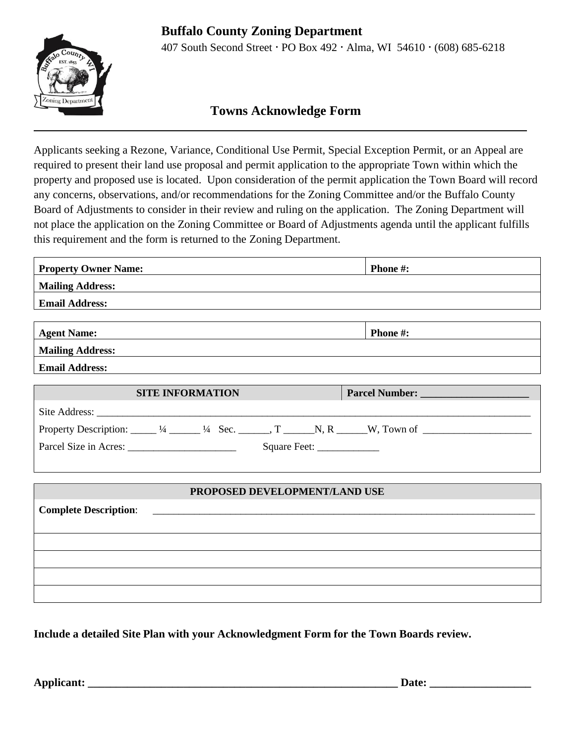## **Buffalo County Zoning Department**



407 South Second Street · PO Box 492 · Alma, WI 54610 · (608) 685-6218

## **Towns Acknowledge Form**  $\mathcal{L}_\mathcal{L} = \mathcal{L}_\mathcal{L} = \mathcal{L}_\mathcal{L} = \mathcal{L}_\mathcal{L} = \mathcal{L}_\mathcal{L} = \mathcal{L}_\mathcal{L} = \mathcal{L}_\mathcal{L} = \mathcal{L}_\mathcal{L} = \mathcal{L}_\mathcal{L} = \mathcal{L}_\mathcal{L} = \mathcal{L}_\mathcal{L} = \mathcal{L}_\mathcal{L} = \mathcal{L}_\mathcal{L} = \mathcal{L}_\mathcal{L} = \mathcal{L}_\mathcal{L} = \mathcal{L}_\mathcal{L} = \mathcal{L}_\mathcal{L}$

Applicants seeking a Rezone, Variance, Conditional Use Permit, Special Exception Permit, or an Appeal are required to present their land use proposal and permit application to the appropriate Town within which the property and proposed use is located. Upon consideration of the permit application the Town Board will record any concerns, observations, and/or recommendations for the Zoning Committee and/or the Buffalo County Board of Adjustments to consider in their review and ruling on the application. The Zoning Department will not place the application on the Zoning Committee or Board of Adjustments agenda until the applicant fulfills this requirement and the form is returned to the Zoning Department.

| <b>Property Owner Name:</b>                                                                                                | Phone #: |
|----------------------------------------------------------------------------------------------------------------------------|----------|
| <b>Mailing Address:</b>                                                                                                    |          |
| <b>Email Address:</b>                                                                                                      |          |
|                                                                                                                            |          |
| <b>Agent Name:</b>                                                                                                         | Phone #: |
| <b>Mailing Address:</b>                                                                                                    |          |
| <b>Email Address:</b>                                                                                                      |          |
| <b>SITE INFORMATION</b>                                                                                                    |          |
|                                                                                                                            |          |
| Property Description: $\_\_\_$ 1/4 $\_\_\_\_$ 1/4 Sec. $\_\_\_\_$ , T $\_\_\_\_$ N, R $\_\_\_\_$ W, Town of $\_\_\_\_\_\_$ |          |
|                                                                                                                            |          |
|                                                                                                                            |          |
| PROPOSED DEVELOPMENT/LAND USE                                                                                              |          |
| <b>Complete Description:</b>                                                                                               |          |
|                                                                                                                            |          |
|                                                                                                                            |          |
|                                                                                                                            |          |
|                                                                                                                            |          |
|                                                                                                                            |          |

**Include a detailed Site Plan with your Acknowledgment Form for the Town Boards review.**

**Applicant: \_\_\_\_\_\_\_\_\_\_\_\_\_\_\_\_\_\_\_\_\_\_\_\_\_\_\_\_\_\_\_\_\_\_\_\_\_\_\_\_\_\_\_\_\_\_\_\_\_\_\_\_\_\_\_ Date: \_\_\_\_\_\_\_\_\_\_\_\_\_\_\_\_\_\_**